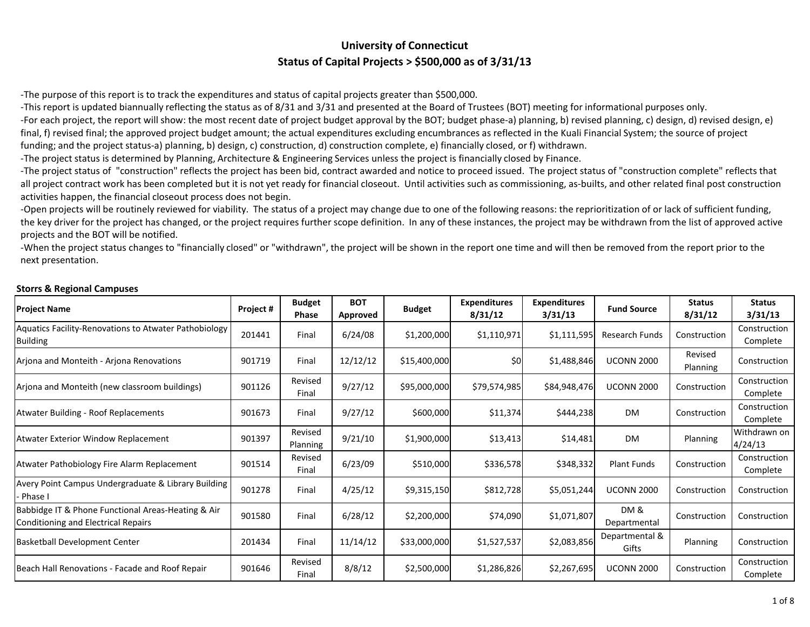## **University of Connecticut Status of Capital Projects <sup>&</sup>gt; \$500,000 as of 3/31/13**

‐The purpose of this report is to track the expenditures and status of capital projects greater than \$500,000.

‐This report is updated biannually reflecting the status as of 8/31 and 3/31 and presented at the Board of Trustees (BOT) meeting for informational purposes only.

‐For each project, the report will show: the most recent date of project budget approval by the BOT; budget phase‐a) planning, b) revised planning, c) design, d) revised design, e) final, f) revised final; the approved project budget amount; the actual expenditures excluding encumbrances as reflected in the Kuali Financial System; the source of project funding; and the project status-a) planning, b) design, c) construction, d) construction complete, e) financially closed, or f) withdrawn.

‐The project status is determined by Planning, Architecture & Engineering Services unless the project is financially closed by Finance.

‐The project status of "construction" reflects the project has been bid, contract awarded and notice to proceed issued. The project status of "construction complete" reflects that all project contract work has been completed but it is not yet ready for financial closeout. Until activities such as commissioning, as‐builts, and other related final post construction activities happen, the financial closeout process does not begin.

‐Open projects will be routinely reviewed for viability. The status of <sup>a</sup> project may change due to one of the following reasons: the reprioritization of or lack of sufficient funding, the key driver for the project has changed, or the project requires further scope definition. In any of these instances, the project may be withdrawn from the list of approved active projects and the BOT will be notified.

‐When the project status changes to "financially closed" or "withdrawn", the project will be shown in the report one time and will then be removed from the report prior to the next presentation.

| <b>Project Name</b>                                                                       | Project # | <b>Budget</b><br><b>Phase</b> | <b>BOT</b><br>Approved | <b>Budget</b> | <b>Expenditures</b><br>8/31/12 | <b>Expenditures</b><br>3/31/13 | <b>Fund Source</b>      | <b>Status</b><br>8/31/12 | <b>Status</b><br>3/31/13 |
|-------------------------------------------------------------------------------------------|-----------|-------------------------------|------------------------|---------------|--------------------------------|--------------------------------|-------------------------|--------------------------|--------------------------|
| Aquatics Facility-Renovations to Atwater Pathobiology<br>Building                         | 201441    | Final                         | 6/24/08                | \$1,200,000   | \$1,110,971                    | \$1,111,595                    | Research Funds          | Construction             | Construction<br>Complete |
| Arjona and Monteith - Arjona Renovations                                                  | 901719    | Final                         | 12/12/12               | \$15,400,000  | \$0                            | \$1,488,846                    | <b>UCONN 2000</b>       | Revised<br>Planning      | Construction             |
| Arjona and Monteith (new classroom buildings)                                             | 901126    | Revised<br>Final              | 9/27/12                | \$95,000,000  | \$79,574,985                   | \$84,948,476                   | <b>UCONN 2000</b>       | Construction             | Construction<br>Complete |
| Atwater Building - Roof Replacements                                                      | 901673    | Final                         | 9/27/12                | \$600,000     | \$11,374                       | \$444,238                      | <b>DM</b>               | Construction             | Construction<br>Complete |
| Atwater Exterior Window Replacement                                                       | 901397    | Revised<br>Planning           | 9/21/10                | \$1,900,000   | \$13,413                       | \$14,481                       | <b>DM</b>               | Planning                 | Withdrawn on<br>4/24/13  |
| Atwater Pathobiology Fire Alarm Replacement                                               | 901514    | Revised<br>Final              | 6/23/09                | \$510,000     | \$336,578                      | \$348,332                      | Plant Funds             | Construction             | Construction<br>Complete |
| Avery Point Campus Undergraduate & Library Building<br>- Phase I                          | 901278    | Final                         | 4/25/12                | \$9,315,150   | \$812,728                      | \$5,051,244                    | <b>UCONN 2000</b>       | Construction             | Construction             |
| Babbidge IT & Phone Functional Areas-Heating & Air<br>Conditioning and Electrical Repairs | 901580    | Final                         | 6/28/12                | \$2,200,000   | \$74,090                       | \$1,071,807                    | DM &<br>Departmental    | Construction             | Construction             |
| Basketball Development Center                                                             | 201434    | Final                         | 11/14/12               | \$33,000,000  | \$1,527,537                    | \$2,083,856                    | Departmental &<br>Gifts | Planning                 | Construction             |
| Beach Hall Renovations - Facade and Roof Repair                                           | 901646    | Revised<br>Final              | 8/8/12                 | \$2,500,000   | \$1,286,826                    | \$2,267,695                    | <b>UCONN 2000</b>       | Construction             | Construction<br>Complete |

## **Storrs & Regional Campuses**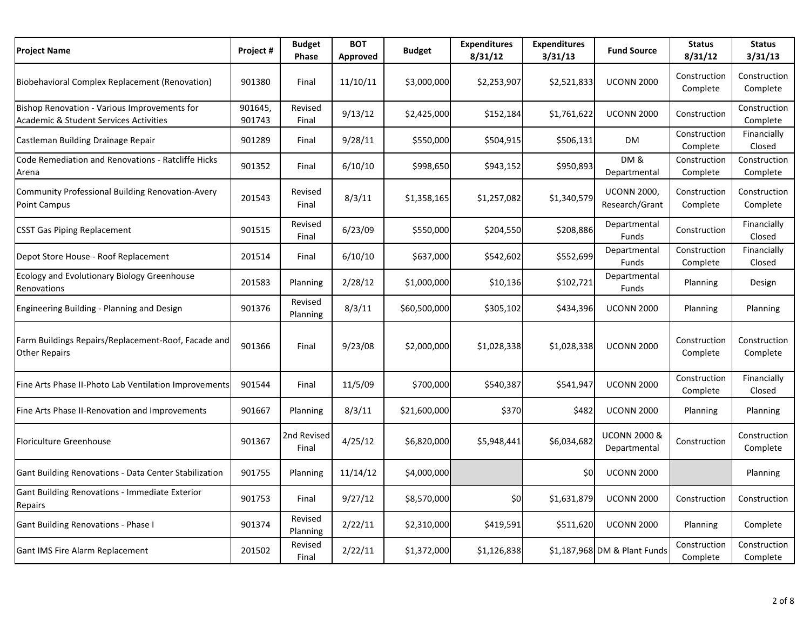| <b>Project Name</b>                                                                    | Project#          | <b>Budget</b><br>Phase | <b>BOT</b><br>Approved | <b>Budget</b> | <b>Expenditures</b><br>8/31/12 | <b>Expenditures</b><br>3/31/13 | <b>Fund Source</b>                      | <b>Status</b><br>8/31/12 | <b>Status</b><br>3/31/13 |
|----------------------------------------------------------------------------------------|-------------------|------------------------|------------------------|---------------|--------------------------------|--------------------------------|-----------------------------------------|--------------------------|--------------------------|
| Biobehavioral Complex Replacement (Renovation)                                         | 901380            | Final                  | 11/10/11               | \$3,000,000   | \$2,253,907                    | \$2,521,833                    | <b>UCONN 2000</b>                       | Construction<br>Complete | Construction<br>Complete |
| Bishop Renovation - Various Improvements for<br>Academic & Student Services Activities | 901645,<br>901743 | Revised<br>Final       | 9/13/12                | \$2,425,000   | \$152,184                      | \$1,761,622                    | <b>UCONN 2000</b>                       | Construction             | Construction<br>Complete |
| Castleman Building Drainage Repair                                                     | 901289            | Final                  | 9/28/11                | \$550,000     | \$504,915                      | \$506,131                      | <b>DM</b>                               | Construction<br>Complete | Financially<br>Closed    |
| Code Remediation and Renovations - Ratcliffe Hicks<br>Arena                            | 901352            | Final                  | 6/10/10                | \$998,650     | \$943,152                      | \$950,893                      | <b>DM &amp;</b><br>Departmental         | Construction<br>Complete | Construction<br>Complete |
| Community Professional Building Renovation-Avery<br>Point Campus                       | 201543            | Revised<br>Final       | 8/3/11                 | \$1,358,165   | \$1,257,082                    | \$1,340,579                    | <b>UCONN 2000.</b><br>Research/Grant    | Construction<br>Complete | Construction<br>Complete |
| <b>CSST Gas Piping Replacement</b>                                                     | 901515            | Revised<br>Final       | 6/23/09                | \$550,000     | \$204,550                      | \$208,886                      | Departmental<br>Funds                   | Construction             | Financially<br>Closed    |
| Depot Store House - Roof Replacement                                                   | 201514            | Final                  | 6/10/10                | \$637,000     | \$542,602                      | \$552,699                      | Departmental<br>Funds                   | Construction<br>Complete | Financially<br>Closed    |
| Ecology and Evolutionary Biology Greenhouse<br>Renovations                             | 201583            | Planning               | 2/28/12                | \$1,000,000   | \$10,136                       | \$102,721                      | Departmental<br>Funds                   | <b>Planning</b>          | Design                   |
| Engineering Building - Planning and Design                                             | 901376            | Revised<br>Planning    | 8/3/11                 | \$60,500,000  | \$305,102                      | \$434,396                      | <b>UCONN 2000</b>                       | Planning                 | Planning                 |
| Farm Buildings Repairs/Replacement-Roof, Facade and<br><b>Other Repairs</b>            | 901366            | Final                  | 9/23/08                | \$2,000,000   | \$1,028,338                    | \$1,028,338                    | <b>UCONN 2000</b>                       | Construction<br>Complete | Construction<br>Complete |
| Fine Arts Phase II-Photo Lab Ventilation Improvements                                  | 901544            | Final                  | 11/5/09                | \$700,000     | \$540,387                      | \$541,947                      | <b>UCONN 2000</b>                       | Construction<br>Complete | Financially<br>Closed    |
| Fine Arts Phase II-Renovation and Improvements                                         | 901667            | Planning               | 8/3/11                 | \$21,600,000  | \$370                          | \$482                          | <b>UCONN 2000</b>                       | Planning                 | Planning                 |
| <b>Floriculture Greenhouse</b>                                                         | 901367            | 2nd Revised<br>Final   | 4/25/12                | \$6,820,000   | \$5,948,441                    | \$6,034,682                    | <b>UCONN 2000 &amp;</b><br>Departmental | Construction             | Construction<br>Complete |
| Gant Building Renovations - Data Center Stabilization                                  | 901755            | Planning               | 11/14/12               | \$4,000,000   |                                | \$0                            | <b>UCONN 2000</b>                       |                          | Planning                 |
| Gant Building Renovations - Immediate Exterior<br>Repairs                              | 901753            | Final                  | 9/27/12                | \$8,570,000   | \$0                            | \$1,631,879                    | <b>UCONN 2000</b>                       | Construction             | Construction             |
| Gant Building Renovations - Phase I                                                    | 901374            | Revised<br>Planning    | 2/22/11                | \$2,310,000   | \$419,591                      | \$511,620                      | <b>UCONN 2000</b>                       | Planning                 | Complete                 |
| <b>Gant IMS Fire Alarm Replacement</b>                                                 | 201502            | Revised<br>Final       | 2/22/11                | \$1,372,000   | \$1,126,838                    |                                | \$1,187,968 DM & Plant Funds            | Construction<br>Complete | Construction<br>Complete |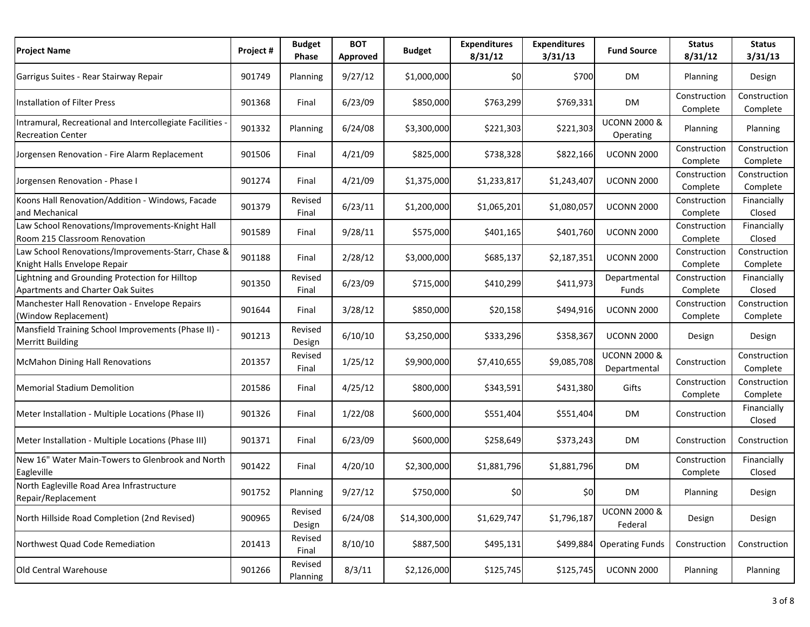| <b>Project Name</b>                                                                   | Project # | <b>Budget</b><br>Phase | <b>BOT</b><br>Approved | <b>Budget</b> | <b>Expenditures</b><br>8/31/12 | <b>Expenditures</b><br>3/31/13 | <b>Fund Source</b>                      | <b>Status</b><br>8/31/12 | <b>Status</b><br>3/31/13 |
|---------------------------------------------------------------------------------------|-----------|------------------------|------------------------|---------------|--------------------------------|--------------------------------|-----------------------------------------|--------------------------|--------------------------|
| Garrigus Suites - Rear Stairway Repair                                                | 901749    | Planning               | 9/27/12                | \$1,000,000   | \$0                            | \$700                          | <b>DM</b>                               | Planning                 | Design                   |
| Installation of Filter Press                                                          | 901368    | Final                  | 6/23/09                | \$850,000     | \$763,299                      | \$769,331                      | DM                                      | Construction<br>Complete | Construction<br>Complete |
| Intramural, Recreational and Intercollegiate Facilities -<br><b>Recreation Center</b> | 901332    | Planning               | 6/24/08                | \$3,300,000   | \$221,303                      | \$221,303                      | <b>UCONN 2000 &amp;</b><br>Operating    | Planning                 | Planning                 |
| Jorgensen Renovation - Fire Alarm Replacement                                         | 901506    | Final                  | 4/21/09                | \$825,000     | \$738,328                      | \$822,166                      | <b>UCONN 2000</b>                       | Construction<br>Complete | Construction<br>Complete |
| Jorgensen Renovation - Phase I                                                        | 901274    | Final                  | 4/21/09                | \$1,375,000   | \$1,233,817                    | \$1,243,407                    | <b>UCONN 2000</b>                       | Construction<br>Complete | Construction<br>Complete |
| Koons Hall Renovation/Addition - Windows, Facade<br>and Mechanical                    | 901379    | Revised<br>Final       | 6/23/11                | \$1,200,000   | \$1,065,201                    | \$1,080,057                    | <b>UCONN 2000</b>                       | Construction<br>Complete | Financially<br>Closed    |
| Law School Renovations/Improvements-Knight Hall<br>Room 215 Classroom Renovation      | 901589    | Final                  | 9/28/11                | \$575,000     | \$401,165                      | \$401,760                      | <b>UCONN 2000</b>                       | Construction<br>Complete | Financially<br>Closed    |
| Law School Renovations/Improvements-Starr, Chase &<br>Knight Halls Envelope Repair    | 901188    | Final                  | 2/28/12                | \$3,000,000   | \$685,137                      | \$2,187,351                    | <b>UCONN 2000</b>                       | Construction<br>Complete | Construction<br>Complete |
| Lightning and Grounding Protection for Hilltop<br>Apartments and Charter Oak Suites   | 901350    | Revised<br>Final       | 6/23/09                | \$715,000     | \$410,299                      | \$411,973                      | Departmental<br>Funds                   | Construction<br>Complete | Financially<br>Closed    |
| Manchester Hall Renovation - Envelope Repairs<br>(Window Replacement)                 | 901644    | Final                  | 3/28/12                | \$850,000     | \$20,158                       | \$494,916                      | <b>UCONN 2000</b>                       | Construction<br>Complete | Construction<br>Complete |
| Mansfield Training School Improvements (Phase II) -<br><b>Merritt Building</b>        | 901213    | Revised<br>Design      | 6/10/10                | \$3,250,000   | \$333,296                      | \$358,367                      | <b>UCONN 2000</b>                       | Design                   | Design                   |
| <b>McMahon Dining Hall Renovations</b>                                                | 201357    | Revised<br>Final       | 1/25/12                | \$9,900,000   | \$7,410,655                    | \$9,085,708                    | <b>UCONN 2000 &amp;</b><br>Departmental | Construction             | Construction<br>Complete |
| <b>Memorial Stadium Demolition</b>                                                    | 201586    | Final                  | 4/25/12                | \$800,000     | \$343,591                      | \$431,380                      | Gifts                                   | Construction<br>Complete | Construction<br>Complete |
| Meter Installation - Multiple Locations (Phase II)                                    | 901326    | Final                  | 1/22/08                | \$600,000     | \$551,404                      | \$551,404                      | <b>DM</b>                               | Construction             | Financially<br>Closed    |
| Meter Installation - Multiple Locations (Phase III)                                   | 901371    | Final                  | 6/23/09                | \$600,000     | \$258,649                      | \$373,243                      | <b>DM</b>                               | Construction             | Construction             |
| New 16" Water Main-Towers to Glenbrook and North<br>Eagleville                        | 901422    | Final                  | 4/20/10                | \$2,300,000   | \$1,881,796                    | \$1,881,796                    | <b>DM</b>                               | Construction<br>Complete | Financially<br>Closed    |
| North Eagleville Road Area Infrastructure<br>Repair/Replacement                       | 901752    | Planning               | 9/27/12                | \$750,000     | \$0                            | \$0                            | DM                                      | Planning                 | Design                   |
| North Hillside Road Completion (2nd Revised)                                          | 900965    | Revised<br>Design      | 6/24/08                | \$14,300,000  | \$1,629,747                    | \$1,796,187                    | <b>UCONN 2000 &amp;</b><br>Federal      | Design                   | Design                   |
| Northwest Quad Code Remediation                                                       | 201413    | Revised<br>Final       | 8/10/10                | \$887,500     | \$495,131                      | \$499,884                      | <b>Operating Funds</b>                  | Construction             | Construction             |
| Old Central Warehouse                                                                 | 901266    | Revised<br>Planning    | 8/3/11                 | \$2,126,000   | \$125,745                      | \$125,745                      | <b>UCONN 2000</b>                       | Planning                 | Planning                 |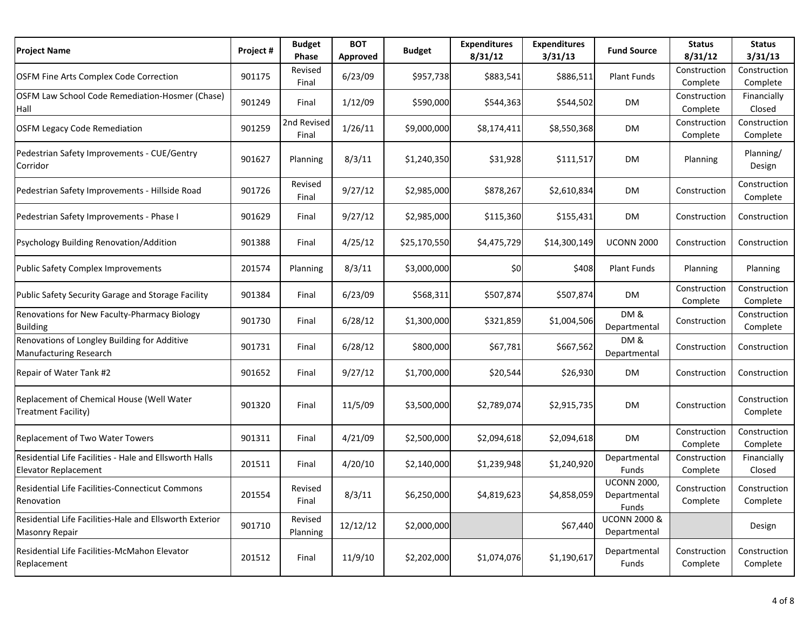| <b>Project Name</b>                                                                   | Project # | <b>Budget</b><br>Phase | <b>BOT</b><br>Approved | <b>Budget</b> | <b>Expenditures</b><br>8/31/12 | <b>Expenditures</b><br>3/31/13 | <b>Fund Source</b>                          | <b>Status</b><br>8/31/12 | <b>Status</b><br>3/31/13 |
|---------------------------------------------------------------------------------------|-----------|------------------------|------------------------|---------------|--------------------------------|--------------------------------|---------------------------------------------|--------------------------|--------------------------|
| <b>OSFM Fine Arts Complex Code Correction</b>                                         | 901175    | Revised<br>Final       | 6/23/09                | \$957,738     | \$883,541                      | \$886,511                      | Plant Funds                                 | Construction<br>Complete | Construction<br>Complete |
| OSFM Law School Code Remediation-Hosmer (Chase)<br>Hall                               | 901249    | Final                  | 1/12/09                | \$590,000     | \$544,363                      | \$544,502                      | DM                                          | Construction<br>Complete | Financially<br>Closed    |
| <b>OSFM Legacy Code Remediation</b>                                                   | 901259    | 2nd Revised<br>Final   | 1/26/11                | \$9,000,000   | \$8,174,411                    | \$8,550,368                    | DM                                          | Construction<br>Complete | Construction<br>Complete |
| Pedestrian Safety Improvements - CUE/Gentry<br>Corridor                               | 901627    | Planning               | 8/3/11                 | \$1,240,350   | \$31,928                       | \$111,517                      | DM                                          | Planning                 | Planning/<br>Design      |
| Pedestrian Safety Improvements - Hillside Road                                        | 901726    | Revised<br>Final       | 9/27/12                | \$2,985,000   | \$878,267                      | \$2,610,834                    | DM                                          | Construction             | Construction<br>Complete |
| Pedestrian Safety Improvements - Phase I                                              | 901629    | Final                  | 9/27/12                | \$2,985,000   | \$115,360                      | \$155,431                      | DM                                          | Construction             | Construction             |
| Psychology Building Renovation/Addition                                               | 901388    | Final                  | 4/25/12                | \$25,170,550  | \$4,475,729                    | \$14,300,149                   | <b>UCONN 2000</b>                           | Construction             | Construction             |
| <b>Public Safety Complex Improvements</b>                                             | 201574    | Planning               | 8/3/11                 | \$3,000,000   | \$0                            | \$408                          | <b>Plant Funds</b>                          | Planning                 | Planning                 |
| Public Safety Security Garage and Storage Facility                                    | 901384    | Final                  | 6/23/09                | \$568,311     | \$507,874                      | \$507,874                      | DM                                          | Construction<br>Complete | Construction<br>Complete |
| Renovations for New Faculty-Pharmacy Biology<br><b>Building</b>                       | 901730    | Final                  | 6/28/12                | \$1,300,000   | \$321,859                      | \$1,004,506                    | DM&<br>Departmental                         | Construction             | Construction<br>Complete |
| Renovations of Longley Building for Additive<br>Manufacturing Research                | 901731    | Final                  | 6/28/12                | \$800,000     | \$67,781                       | \$667,562                      | DM&<br>Departmental                         | Construction             | Construction             |
| Repair of Water Tank #2                                                               | 901652    | Final                  | 9/27/12                | \$1,700,000   | \$20,544                       | \$26,930                       | DM                                          | Construction             | Construction             |
| Replacement of Chemical House (Well Water<br>Treatment Facility)                      | 901320    | Final                  | 11/5/09                | \$3,500,000   | \$2,789,074                    | \$2,915,735                    | DM                                          | Construction             | Construction<br>Complete |
| Replacement of Two Water Towers                                                       | 901311    | Final                  | 4/21/09                | \$2,500,000   | \$2,094,618                    | \$2,094,618                    | <b>DM</b>                                   | Construction<br>Complete | Construction<br>Complete |
| Residential Life Facilities - Hale and Ellsworth Halls<br><b>Elevator Replacement</b> | 201511    | Final                  | 4/20/10                | \$2,140,000   | \$1,239,948                    | \$1,240,920                    | Departmental<br>Funds                       | Construction<br>Complete | Financially<br>Closed    |
| Residential Life Facilities-Connecticut Commons<br>Renovation                         | 201554    | Revised<br>Final       | 8/3/11                 | \$6,250,000   | \$4,819,623                    | \$4,858,059                    | <b>UCONN 2000,</b><br>Departmental<br>Funds | Construction<br>Complete | Construction<br>Complete |
| Residential Life Facilities-Hale and Ellsworth Exterior<br>Masonry Repair             | 901710    | Revised<br>Planning    | 12/12/12               | \$2,000,000   |                                | \$67,440                       | <b>UCONN 2000 &amp;</b><br>Departmental     |                          | Design                   |
| Residential Life Facilities-McMahon Elevator<br>Replacement                           | 201512    | Final                  | 11/9/10                | \$2,202,000   | \$1,074,076                    | \$1,190,617                    | Departmental<br>Funds                       | Construction<br>Complete | Construction<br>Complete |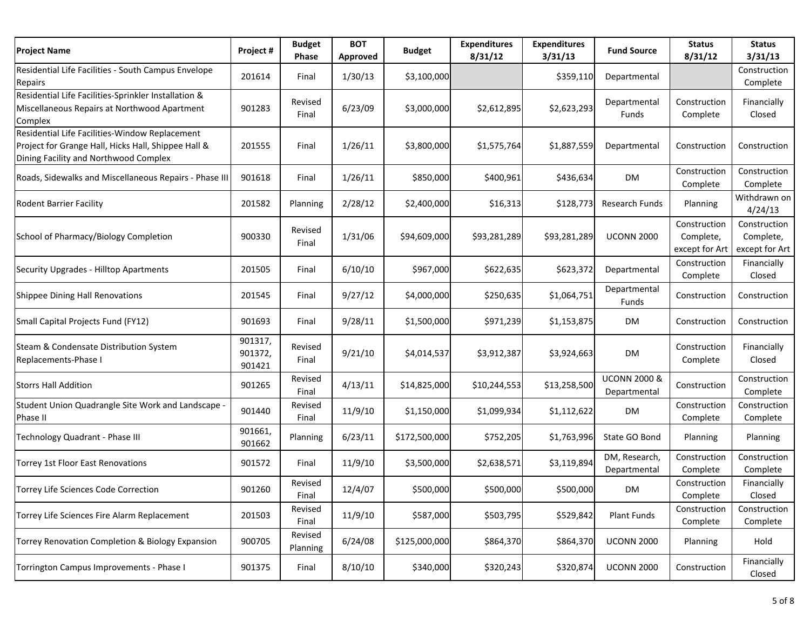| <b>Project Name</b>                                                                                                                            | Project#                     | <b>Budget</b><br>Phase | <b>BOT</b><br>Approved | <b>Budget</b> | <b>Expenditures</b><br>8/31/12 | <b>Expenditures</b><br>3/31/13 | <b>Fund Source</b>                      | <b>Status</b><br>8/31/12                    | <b>Status</b><br>3/31/13                    |
|------------------------------------------------------------------------------------------------------------------------------------------------|------------------------------|------------------------|------------------------|---------------|--------------------------------|--------------------------------|-----------------------------------------|---------------------------------------------|---------------------------------------------|
| Residential Life Facilities - South Campus Envelope<br>Repairs                                                                                 | 201614                       | Final                  | 1/30/13                | \$3,100,000   |                                | \$359,110                      | Departmental                            |                                             | Construction<br>Complete                    |
| Residential Life Facilities-Sprinkler Installation &<br>Miscellaneous Repairs at Northwood Apartment<br>Complex                                | 901283                       | Revised<br>Final       | 6/23/09                | \$3,000,000   | \$2,612,895                    | \$2,623,293                    | Departmental<br>Funds                   | Construction<br>Complete                    | Financially<br>Closed                       |
| Residential Life Facilities-Window Replacement<br>Project for Grange Hall, Hicks Hall, Shippee Hall &<br>Dining Facility and Northwood Complex | 201555                       | Final                  | 1/26/11                | \$3,800,000   | \$1,575,764                    | \$1,887,559                    | Departmental                            | Construction                                | Construction                                |
| Roads, Sidewalks and Miscellaneous Repairs - Phase III                                                                                         | 901618                       | Final                  | 1/26/11                | \$850,000     | \$400,961                      | \$436,634                      | DM                                      | Construction<br>Complete                    | Construction<br>Complete                    |
| <b>Rodent Barrier Facility</b>                                                                                                                 | 201582                       | Planning               | 2/28/12                | \$2,400,000   | \$16,313                       | \$128,773                      | Research Funds                          | Planning                                    | Withdrawn on<br>4/24/13                     |
| School of Pharmacy/Biology Completion                                                                                                          | 900330                       | Revised<br>Final       | 1/31/06                | \$94,609,000  | \$93,281,289                   | \$93,281,289                   | <b>UCONN 2000</b>                       | Construction<br>Complete,<br>except for Art | Construction<br>Complete,<br>except for Art |
| Security Upgrades - Hilltop Apartments                                                                                                         | 201505                       | Final                  | 6/10/10                | \$967,000     | \$622,635                      | \$623,372                      | Departmental                            | Construction<br>Complete                    | Financially<br>Closed                       |
| Shippee Dining Hall Renovations                                                                                                                | 201545                       | Final                  | 9/27/12                | \$4,000,000   | \$250,635                      | \$1,064,751                    | Departmental<br>Funds                   | Construction                                | Construction                                |
| Small Capital Projects Fund (FY12)                                                                                                             | 901693                       | Final                  | 9/28/11                | \$1,500,000   | \$971,239                      | \$1,153,875                    | <b>DM</b>                               | Construction                                | Construction                                |
| Steam & Condensate Distribution System<br>Replacements-Phase I                                                                                 | 901317,<br>901372,<br>901421 | Revised<br>Final       | 9/21/10                | \$4,014,537   | \$3,912,387                    | \$3,924,663                    | DM                                      | Construction<br>Complete                    | Financially<br>Closed                       |
| <b>Storrs Hall Addition</b>                                                                                                                    | 901265                       | Revised<br>Final       | 4/13/11                | \$14,825,000  | \$10,244,553                   | \$13,258,500                   | <b>UCONN 2000 &amp;</b><br>Departmental | Construction                                | Construction<br>Complete                    |
| Student Union Quadrangle Site Work and Landscape -<br>Phase II                                                                                 | 901440                       | Revised<br>Final       | 11/9/10                | \$1,150,000   | \$1,099,934                    | \$1,112,622                    | DM                                      | Construction<br>Complete                    | Construction<br>Complete                    |
| Technology Quadrant - Phase III                                                                                                                | 901661,<br>901662            | Planning               | 6/23/11                | \$172,500,000 | \$752,205                      | \$1,763,996                    | State GO Bond                           | Planning                                    | Planning                                    |
| Torrey 1st Floor East Renovations                                                                                                              | 901572                       | Final                  | 11/9/10                | \$3,500,000   | \$2,638,571                    | \$3,119,894                    | DM, Research,<br>Departmental           | Construction<br>Complete                    | Construction<br>Complete                    |
| Torrey Life Sciences Code Correction                                                                                                           | 901260                       | Revised<br>Final       | 12/4/07                | \$500,000     | \$500,000                      | \$500,000                      | DM                                      | Construction<br>Complete                    | Financially<br>Closed                       |
| Torrey Life Sciences Fire Alarm Replacement                                                                                                    | 201503                       | Revised<br>Final       | 11/9/10                | \$587,000     | \$503,795                      | \$529,842                      | Plant Funds                             | Construction<br>Complete                    | Construction<br>Complete                    |
| Torrey Renovation Completion & Biology Expansion                                                                                               | 900705                       | Revised<br>Planning    | 6/24/08                | \$125,000,000 | \$864,370                      | \$864,370                      | <b>UCONN 2000</b>                       | Planning                                    | Hold                                        |
| Torrington Campus Improvements - Phase I                                                                                                       | 901375                       | Final                  | 8/10/10                | \$340,000     | \$320,243                      | \$320,874                      | <b>UCONN 2000</b>                       | Construction                                | Financially<br>Closed                       |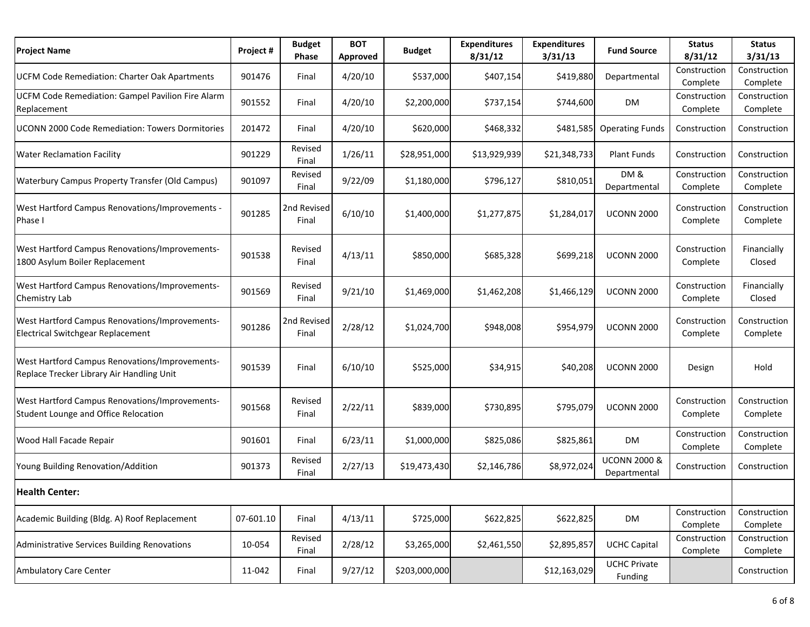| <b>Project Name</b>                                                                         | Project # | <b>Budget</b><br>Phase | <b>BOT</b><br>Approved | <b>Budget</b> | <b>Expenditures</b><br>8/31/12 | <b>Expenditures</b><br>3/31/13 | <b>Fund Source</b>                      | <b>Status</b><br>8/31/12 | <b>Status</b><br>3/31/13 |
|---------------------------------------------------------------------------------------------|-----------|------------------------|------------------------|---------------|--------------------------------|--------------------------------|-----------------------------------------|--------------------------|--------------------------|
| <b>UCFM Code Remediation: Charter Oak Apartments</b>                                        | 901476    | Final                  | 4/20/10                | \$537,000     | \$407,154                      | \$419,880                      | Departmental                            | Construction<br>Complete | Construction<br>Complete |
| UCFM Code Remediation: Gampel Pavilion Fire Alarm<br>Replacement                            | 901552    | Final                  | 4/20/10                | \$2,200,000   | \$737,154                      | \$744,600                      | <b>DM</b>                               | Construction<br>Complete | Construction<br>Complete |
| <b>UCONN 2000 Code Remediation: Towers Dormitories</b>                                      | 201472    | Final                  | 4/20/10                | \$620,000     | \$468,332                      | \$481,585                      | <b>Operating Funds</b>                  | Construction             | Construction             |
| <b>Water Reclamation Facility</b>                                                           | 901229    | Revised<br>Final       | 1/26/11                | \$28,951,000  | \$13,929,939                   | \$21,348,733                   | <b>Plant Funds</b>                      | Construction             | Construction             |
| <b>Waterbury Campus Property Transfer (Old Campus)</b>                                      | 901097    | Revised<br>Final       | 9/22/09                | \$1,180,000   | \$796,127                      | \$810,051                      | DM&<br>Departmental                     | Construction<br>Complete | Construction<br>Complete |
| West Hartford Campus Renovations/Improvements -<br>Phase I                                  | 901285    | 2nd Revised<br>Final   | 6/10/10                | \$1,400,000   | \$1,277,875                    | \$1,284,017                    | <b>UCONN 2000</b>                       | Construction<br>Complete | Construction<br>Complete |
| West Hartford Campus Renovations/Improvements-<br>1800 Asylum Boiler Replacement            | 901538    | Revised<br>Final       | 4/13/11                | \$850,000     | \$685,328                      | \$699,218                      | <b>UCONN 2000</b>                       | Construction<br>Complete | Financially<br>Closed    |
| West Hartford Campus Renovations/Improvements-<br>Chemistry Lab                             | 901569    | Revised<br>Final       | 9/21/10                | \$1,469,000   | \$1,462,208                    | \$1,466,129                    | <b>UCONN 2000</b>                       | Construction<br>Complete | Financially<br>Closed    |
| West Hartford Campus Renovations/Improvements-<br>Electrical Switchgear Replacement         | 901286    | 2nd Revised<br>Final   | 2/28/12                | \$1,024,700   | \$948,008                      | \$954,979                      | <b>UCONN 2000</b>                       | Construction<br>Complete | Construction<br>Complete |
| West Hartford Campus Renovations/Improvements-<br>Replace Trecker Library Air Handling Unit | 901539    | Final                  | 6/10/10                | \$525,000     | \$34,915                       | \$40,208                       | <b>UCONN 2000</b>                       | Design                   | Hold                     |
| West Hartford Campus Renovations/Improvements-<br>Student Lounge and Office Relocation      | 901568    | Revised<br>Final       | 2/22/11                | \$839,000     | \$730,895                      | \$795,079                      | <b>UCONN 2000</b>                       | Construction<br>Complete | Construction<br>Complete |
| Wood Hall Facade Repair                                                                     | 901601    | Final                  | 6/23/11                | \$1,000,000   | \$825,086                      | \$825,861                      | <b>DM</b>                               | Construction<br>Complete | Construction<br>Complete |
| Young Building Renovation/Addition                                                          | 901373    | Revised<br>Final       | 2/27/13                | \$19,473,430  | \$2,146,786                    | \$8,972,024                    | <b>UCONN 2000 &amp;</b><br>Departmental | Construction             | Construction             |
| <b>Health Center:</b>                                                                       |           |                        |                        |               |                                |                                |                                         |                          |                          |
| Academic Building (Bldg. A) Roof Replacement                                                | 07-601.10 | Final                  | 4/13/11                | \$725,000     | \$622,825                      | \$622,825                      | DM                                      | Construction<br>Complete | Construction<br>Complete |
| Administrative Services Building Renovations                                                | 10-054    | Revised<br>Final       | 2/28/12                | \$3,265,000   | \$2,461,550                    | \$2,895,857                    | <b>UCHC Capital</b>                     | Construction<br>Complete | Construction<br>Complete |
| <b>Ambulatory Care Center</b>                                                               | 11-042    | Final                  | 9/27/12                | \$203,000,000 |                                | \$12,163,029                   | <b>UCHC Private</b><br>Funding          |                          | Construction             |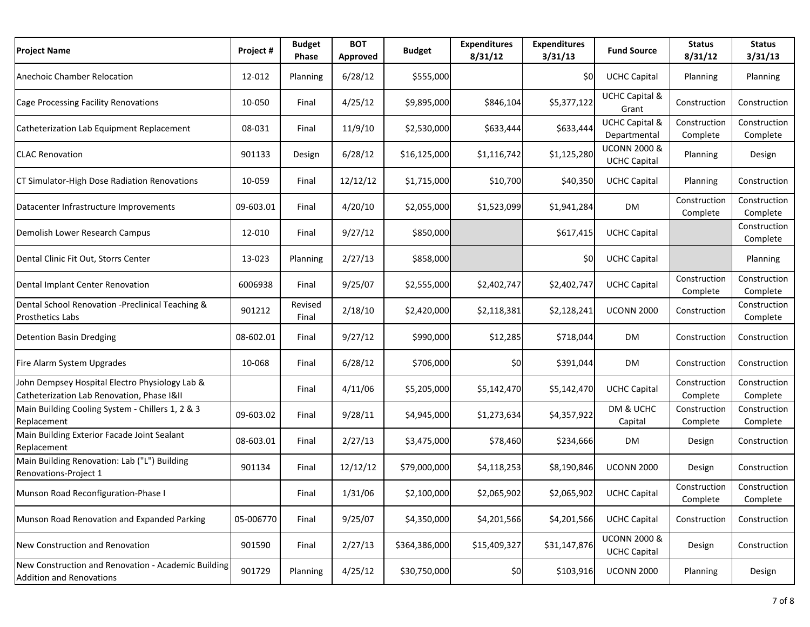| <b>Project Name</b>                                                                          | Project # | <b>Budget</b><br>Phase | <b>BOT</b><br>Approved | <b>Budget</b> | <b>Expenditures</b><br>8/31/12 | <b>Expenditures</b><br>3/31/13 | <b>Fund Source</b>                             | <b>Status</b><br>8/31/12 | <b>Status</b><br>3/31/13 |
|----------------------------------------------------------------------------------------------|-----------|------------------------|------------------------|---------------|--------------------------------|--------------------------------|------------------------------------------------|--------------------------|--------------------------|
| Anechoic Chamber Relocation                                                                  | 12-012    | Planning               | 6/28/12                | \$555,000     |                                | \$0                            | <b>UCHC Capital</b>                            | Planning                 | Planning                 |
| Cage Processing Facility Renovations                                                         | 10-050    | Final                  | 4/25/12                | \$9,895,000   | \$846,104                      | \$5,377,122                    | <b>UCHC Capital &amp;</b><br>Grant             | Construction             | Construction             |
| Catheterization Lab Equipment Replacement                                                    | 08-031    | Final                  | 11/9/10                | \$2,530,000   | \$633,444                      | \$633,444                      | <b>UCHC Capital &amp;</b><br>Departmental      | Construction<br>Complete | Construction<br>Complete |
| <b>CLAC Renovation</b>                                                                       | 901133    | Design                 | 6/28/12                | \$16,125,000  | \$1,116,742                    | \$1,125,280                    | <b>UCONN 2000 &amp;</b><br><b>UCHC Capital</b> | Planning                 | Design                   |
| CT Simulator-High Dose Radiation Renovations                                                 | 10-059    | Final                  | 12/12/12               | \$1,715,000   | \$10,700                       | \$40,350                       | <b>UCHC Capital</b>                            | Planning                 | Construction             |
| Datacenter Infrastructure Improvements                                                       | 09-603.01 | Final                  | 4/20/10                | \$2,055,000   | \$1,523,099                    | \$1,941,284                    | DM                                             | Construction<br>Complete | Construction<br>Complete |
| Demolish Lower Research Campus                                                               | 12-010    | Final                  | 9/27/12                | \$850,000     |                                | \$617,415                      | <b>UCHC Capital</b>                            |                          | Construction<br>Complete |
| Dental Clinic Fit Out, Storrs Center                                                         | 13-023    | Planning               | 2/27/13                | \$858,000     |                                | \$0                            | <b>UCHC Capital</b>                            |                          | Planning                 |
| Dental Implant Center Renovation                                                             | 6006938   | Final                  | 9/25/07                | \$2,555,000   | \$2,402,747                    | \$2,402,747                    | <b>UCHC Capital</b>                            | Construction<br>Complete | Construction<br>Complete |
| Dental School Renovation -Preclinical Teaching &<br><b>Prosthetics Labs</b>                  | 901212    | Revised<br>Final       | 2/18/10                | \$2,420,000   | \$2,118,381                    | \$2,128,241                    | <b>UCONN 2000</b>                              | Construction             | Construction<br>Complete |
| <b>Detention Basin Dredging</b>                                                              | 08-602.01 | Final                  | 9/27/12                | \$990,000     | \$12,285                       | \$718,044                      | <b>DM</b>                                      | Construction             | Construction             |
| Fire Alarm System Upgrades                                                                   | 10-068    | Final                  | 6/28/12                | \$706,000     | \$0                            | \$391,044                      | DM                                             | Construction             | Construction             |
| John Dempsey Hospital Electro Physiology Lab &<br>Catheterization Lab Renovation, Phase I&II |           | Final                  | 4/11/06                | \$5,205,000   | \$5,142,470                    | \$5,142,470                    | <b>UCHC Capital</b>                            | Construction<br>Complete | Construction<br>Complete |
| Main Building Cooling System - Chillers 1, 2 & 3<br>Replacement                              | 09-603.02 | Final                  | 9/28/11                | \$4,945,000   | \$1,273,634                    | \$4,357,922                    | DM & UCHC<br>Capital                           | Construction<br>Complete | Construction<br>Complete |
| Main Building Exterior Facade Joint Sealant<br>Replacement                                   | 08-603.01 | Final                  | 2/27/13                | \$3,475,000   | \$78,460                       | \$234,666                      | <b>DM</b>                                      | Design                   | Construction             |
| Main Building Renovation: Lab ("L") Building<br>Renovations-Project 1                        | 901134    | Final                  | 12/12/12               | \$79,000,000  | \$4,118,253                    | \$8,190,846                    | <b>UCONN 2000</b>                              | Design                   | Construction             |
| Munson Road Reconfiguration-Phase I                                                          |           | Final                  | 1/31/06                | \$2,100,000   | \$2,065,902                    | \$2,065,902                    | <b>UCHC Capital</b>                            | Construction<br>Complete | Construction<br>Complete |
| Munson Road Renovation and Expanded Parking                                                  | 05-006770 | Final                  | 9/25/07                | \$4,350,000   | \$4,201,566                    | \$4,201,566                    | <b>UCHC Capital</b>                            | Construction             | Construction             |
| New Construction and Renovation                                                              | 901590    | Final                  | 2/27/13                | \$364,386,000 | \$15,409,327                   | \$31,147,876                   | <b>UCONN 2000 &amp;</b><br><b>UCHC Capital</b> | Design                   | Construction             |
| New Construction and Renovation - Academic Building<br><b>Addition and Renovations</b>       | 901729    | Planning               | 4/25/12                | \$30,750,000  | \$0                            | \$103,916                      | <b>UCONN 2000</b>                              | Planning                 | Design                   |